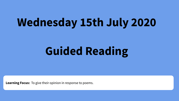## **Wednesday 15th July 2020**

# **Guided Reading**

**Learning Focus:** To give their opinion in response to poems.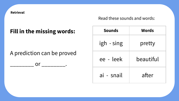**Retrieval** 

Read these sounds and words:

## **Fill in the missing words:**

A prediction can be proved

 $\mathsf{or}$  .

| <b>Sounds</b> | Words     |
|---------------|-----------|
| igh - sing    | pretty    |
| ee - leek     | beautiful |
| ai - snail    | after     |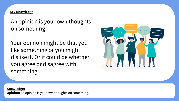### **Key Knowledge**

An opinion is your own thoughts on something.

Your opinion might be that you like something or you might dislike it. Or it could be whether you agree or disagree with something .



#### **Knowledge:**

**Opinion:** An opinion is your own thoughts on something.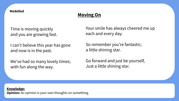#### **Modelled**

## **Moving On**

Time is moving quickly and you are growing fast.

I can't believe this year has gone and now is in the past.

We've had so many lovely times; with fun along the way.

Your smile has always cheered me up each and every day.

So remember you're fantastic; a little shining star.

Go forward and just be yourself, Just a little shining star.

#### **Knowledge:**

**Opinion:** An opinion is your own thoughts on something.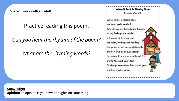**Shared (work with an adult)**

Practice reading this poem.

*Can you hear the rhythm of the poem?* 

*What are the rhyming words?* 

When School Is Closing Soon By Joniel Wagstaff I When school is closing soon, I my heart gets excited! But, I'll miss my friends and teacher so my feelings are divided. 'I think of all I've learned, like math, writing, and reading. I'm proud of my accomplishments and how I've been succeeding! So, here's to summer months of fun and to the next year, tool I'll always remember this school year and how much I grew!

## **Knowledge: Opinion:** An opinion is your own thoughts on something.